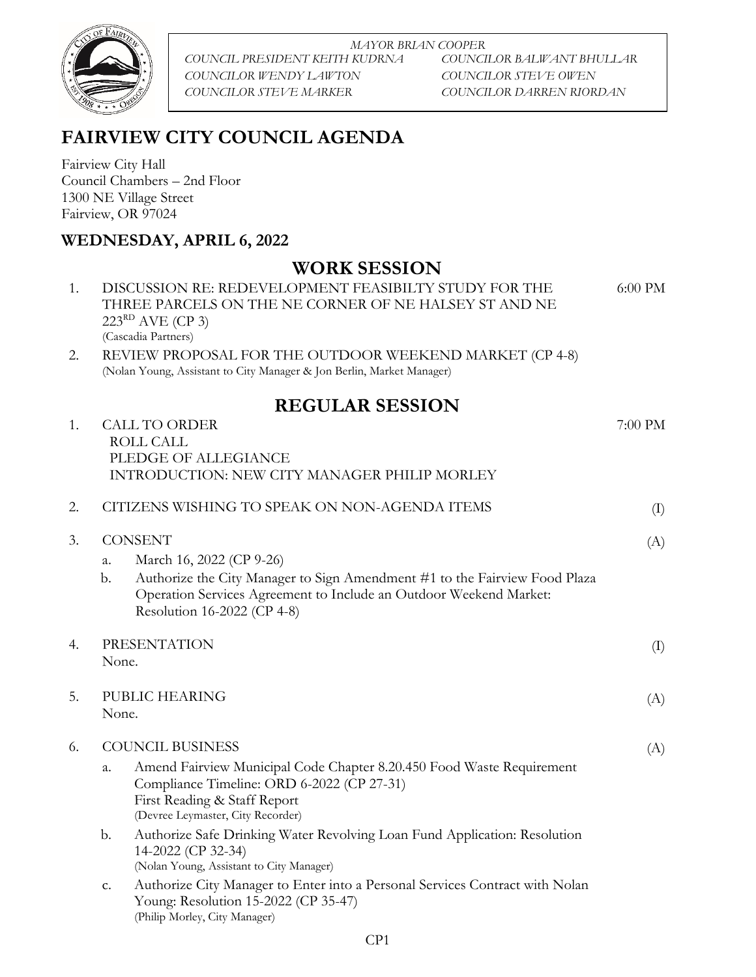

*MAYOR BRIAN COOPER COUNCIL PRESIDENT KEITH KUDRNA COUNCILOR BALWANT BHULLAR COUNCILOR WENDY LAWTON COUNCILOR STEVE OWEN COUNCILOR STEVE MARKER COUNCILOR DARREN RIORDAN*

## **FAIRVIEW CITY COUNCIL AGENDA**

Fairview City Hall Council Chambers – 2nd Floor 1300 NE Village Street Fairview, OR 97024

## **WEDNESDAY, APRIL 6, 2022**

## **WORK SESSION**

| 1.<br>2. | <u>W OTAN OLOOLOT</u><br>DISCUSSION RE: REDEVELOPMENT FEASIBILTY STUDY FOR THE<br>THREE PARCELS ON THE NE CORNER OF NE HALSEY ST AND NE<br>$223RD$ AVE (CP 3)<br>(Cascadia Partners)<br>REVIEW PROPOSAL FOR THE OUTDOOR WEEKEND MARKET (CP 4-8) | 6:00 PM |
|----------|-------------------------------------------------------------------------------------------------------------------------------------------------------------------------------------------------------------------------------------------------|---------|
|          | (Nolan Young, Assistant to City Manager & Jon Berlin, Market Manager)                                                                                                                                                                           |         |
|          | <b>REGULAR SESSION</b>                                                                                                                                                                                                                          |         |
| 1.       | <b>CALL TO ORDER</b><br><b>ROLL CALL</b><br>PLEDGE OF ALLEGIANCE<br>INTRODUCTION: NEW CITY MANAGER PHILIP MORLEY                                                                                                                                | 7:00 PM |
| 2.       | CITIZENS WISHING TO SPEAK ON NON-AGENDA ITEMS                                                                                                                                                                                                   | (I)     |
| 3.       | <b>CONSENT</b><br>March 16, 2022 (CP 9-26)<br>a.<br>Authorize the City Manager to Sign Amendment #1 to the Fairview Food Plaza<br>b.<br>Operation Services Agreement to Include an Outdoor Weekend Market:<br>Resolution 16-2022 (CP 4-8)       | (A)     |
| 4.       | PRESENTATION<br>None.                                                                                                                                                                                                                           | (I)     |
| .5.      | PUBLIC HEARING<br>None.                                                                                                                                                                                                                         | (A)     |
| 6.       | <b>COUNCIL BUSINESS</b>                                                                                                                                                                                                                         | (A)     |
|          | Amend Fairview Municipal Code Chapter 8.20.450 Food Waste Requirement<br>a.<br>Compliance Timeline: ORD 6-2022 (CP 27-31)<br>First Reading & Staff Report<br>(Devree Leymaster, City Recorder)                                                  |         |
|          | Authorize Safe Drinking Water Revolving Loan Fund Application: Resolution<br>b.<br>14-2022 (CP 32-34)<br>(Nolan Young, Assistant to City Manager)                                                                                               |         |
|          | Authorize City Manager to Enter into a Personal Services Contract with Nolan<br>C.<br>Young: Resolution 15-2022 (CP 35-47)<br>(Philip Morley, City Manager)                                                                                     |         |